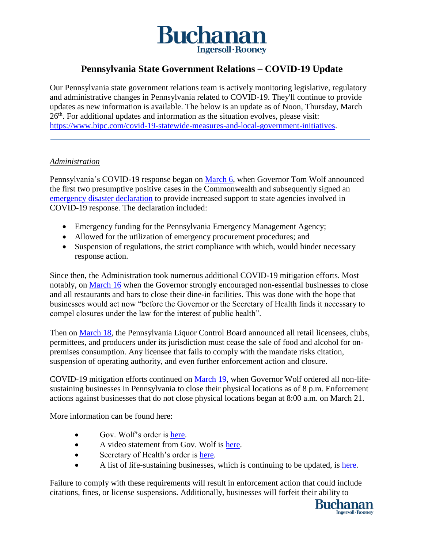

# **Pennsylvania State Government Relations – COVID-19 Update**

Our Pennsylvania state government relations team is actively monitoring legislative, regulatory and administrative changes in Pennsylvania related to COVID-19. They'll continue to provide updates as new information is available. The below is an update as of Noon, Thursday, March 26<sup>th</sup>. For additional updates and information as the situation evolves, please visit: [https://www.bipc.com/covid-19-statewide-measures-and-local-government-initiatives.](https://www.bipc.com/covid-19-statewide-measures-and-local-government-initiatives)

#### *Administration*

Pennsylvania's COVID-19 response began on [March 6,](https://www.governor.pa.gov/newsroom/gov-wolf-signs-covid-19-disaster-declaration-to-provide-increased-support-for-state-response/) when Governor Tom Wolf announced the first two presumptive positive cases in the Commonwealth and subsequently signed an [emergency disaster declaration](https://www.governor.pa.gov/newsroom/gov-wolf-signs-covid-19-disaster-declaration-to-provide-increased-support-for-state-response/) to provide increased support to state agencies involved in COVID-19 response. The declaration included:

- Emergency funding for the Pennsylvania Emergency Management Agency;
- Allowed for the utilization of emergency procurement procedures; and
- Suspension of regulations, the strict compliance with which, would hinder necessary response action.

Since then, the Administration took numerous additional COVID-19 mitigation efforts. Most notably, on [March 16](https://www.governor.pa.gov/newsroom/gov-wolf-puts-statewide-covid-19-mitigation-efforts-in-effect-stresses-need-for-every-pennsylvanian-to-take-action-to-stop-the-spread/) when the Governor strongly encouraged non-essential businesses to close and all restaurants and bars to close their dine-in facilities. This was done with the hope that businesses would act now "before the Governor or the Secretary of Health finds it necessary to compel closures under the law for the interest of public health".

Then on [March 18,](https://www.media.pa.gov/Pages/Liquor-Control-Board-Details.aspx?newsid=563) the Pennsylvania Liquor Control Board announced all retail licensees, clubs, permittees, and producers under its jurisdiction must cease the sale of food and alcohol for onpremises consumption. Any licensee that fails to comply with the mandate risks citation, suspension of operating authority, and even further enforcement action and closure.

COVID-19 mitigation efforts continued on [March 19,](https://www.governor.pa.gov/newsroom/all-non-life-sustaining-businesses-in-pennsylvania-to-close-physical-locations-as-of-8-pm-today-to-slow-spread-of-covid-19/) when Governor Wolf ordered all non-lifesustaining businesses in Pennsylvania to close their physical locations as of 8 p.m. Enforcement actions against businesses that do not close physical locations began at 8:00 a.m. on March 21.

More information can be found here:

- Gov. Wolf's order is [here.](https://www.governor.pa.gov/wp-content/uploads/2020/03/20200319-TWW-COVID-19-business-closure-order.pdf)
- A video statement from Gov. Wolf is [here.](https://pacast.com/m?p=17895)
- Secretary of Health's order is [here.](https://www.governor.pa.gov/wp-content/uploads/2020/03/20200319-Order-of-Secetary-of-PA-DOH-Closure-of-All-Businesses-That-Are-Not-Life-Sustaining.pdf)
- A list of life-sustaining businesses, which is continuing to be updated, is [here.](https://www.scribd.com/document/452553026/UPDATED-2-30pm-March-24-2020-Industry-Operation-Guidance)

Failure to comply with these requirements will result in enforcement action that could include citations, fines, or license suspensions. Additionally, businesses will forfeit their ability to

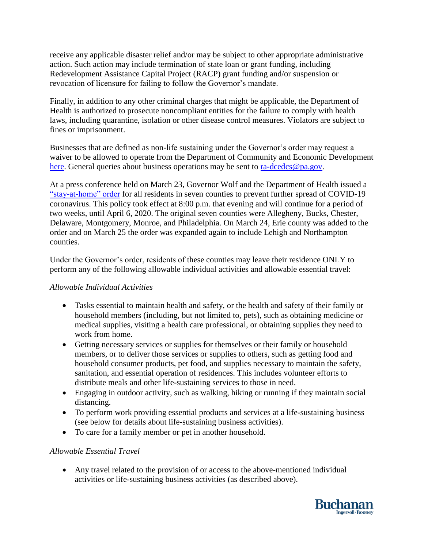receive any applicable disaster relief and/or may be subject to other appropriate administrative action. Such action may include termination of state loan or grant funding, including Redevelopment Assistance Capital Project (RACP) grant funding and/or suspension or revocation of licensure for failing to follow the Governor's mandate.

Finally, in addition to any other criminal charges that might be applicable, the Department of Health is authorized to prosecute noncompliant entities for the failure to comply with health laws, including quarantine, isolation or other disease control measures. Violators are subject to fines or imprisonment.

Businesses that are defined as non-life sustaining under the Governor's order may request a waiver to be allowed to operate from the Department of Community and Economic Development [here.](https://expressforms.pa.gov/apps/pa/DCED/Waiver-process-keeping-physical-locations-open) General queries about business operations may be sent to  $\frac{\text{r}_a-\text{decodes}\,\omega_{\text{p}_a,\text{go}}}{\text{c}_a-\text{c}_b}$ .

At a press conference held on March 23, Governor Wolf and the Department of Health issued a ["stay-at-home" order](https://www.governor.pa.gov/newsroom/governor-wolf-and-health-secretary-issue-stay-at-home-orders-to-7-counties-to-mitigate-spread-of-covid-19/) for all residents in seven counties to prevent further spread of COVID-19 coronavirus. This policy took effect at 8:00 p.m. that evening and will continue for a period of two weeks, until April 6, 2020. The original seven counties were Allegheny, Bucks, Chester, Delaware, Montgomery, Monroe, and Philadelphia. On March 24, Erie county was added to the order and on March 25 the order was expanded again to include Lehigh and Northampton counties.

Under the Governor's order, residents of these counties may leave their residence ONLY to perform any of the following allowable individual activities and allowable essential travel:

### *Allowable Individual Activities*

- Tasks essential to maintain health and safety, or the health and safety of their family or household members (including, but not limited to, pets), such as obtaining medicine or medical supplies, visiting a health care professional, or obtaining supplies they need to work from home.
- Getting necessary services or supplies for themselves or their family or household members, or to deliver those services or supplies to others, such as getting food and household consumer products, pet food, and supplies necessary to maintain the safety, sanitation, and essential operation of residences. This includes volunteer efforts to distribute meals and other life-sustaining services to those in need.
- Engaging in outdoor activity, such as walking, hiking or running if they maintain social distancing.
- To perform work providing essential products and services at a life-sustaining business (see below for details about life-sustaining business activities).
- To care for a family member or pet in another household.

### *Allowable Essential Travel*

 Any travel related to the provision of or access to the above-mentioned individual activities or life-sustaining business activities (as described above).

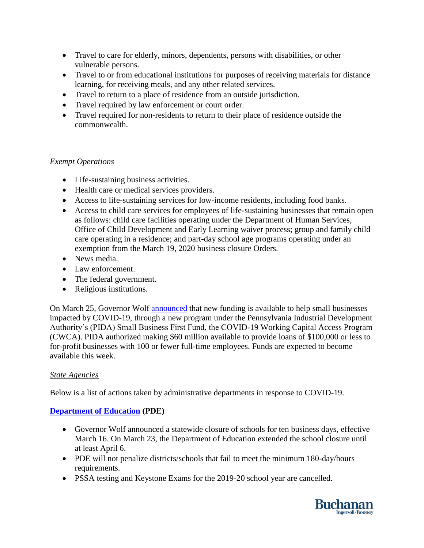- Travel to care for elderly, minors, dependents, persons with disabilities, or other vulnerable persons.
- Travel to or from educational institutions for purposes of receiving materials for distance learning, for receiving meals, and any other related services.
- Travel to return to a place of residence from an outside jurisdiction.
- Travel required by law enforcement or court order.
- Travel required for non-residents to return to their place of residence outside the commonwealth.

# *Exempt Operations*

- Life-sustaining business activities.
- Health care or medical services providers.
- Access to life-sustaining services for low-income residents, including food banks.
- Access to child care services for employees of life-sustaining businesses that remain open as follows: child care facilities operating under the Department of Human Services, Office of Child Development and Early Learning waiver process; group and family child care operating in a residence; and part-day school age programs operating under an exemption from the March 19, 2020 business closure Orders.
- News media.
- Law enforcement.
- The federal government.
- Religious institutions.

On March 25, Governor Wolf [announced](https://dced.pa.gov/programs/covid-19-working-capital-access-program-cwca/) that new funding is available to help small businesses impacted by COVID-19, through a new program under the Pennsylvania Industrial Development Authority's (PIDA) Small Business First Fund, the COVID-19 Working Capital Access Program (CWCA). PIDA authorized making \$60 million available to provide loans of \$100,000 or less to for-profit businesses with 100 or fewer full-time employees. Funds are expected to become available this week.

### *State Agencies*

Below is a list of actions taken by administrative departments in response to COVID-19.

# **[Department of Education](https://www.education.pa.gov/Schools/safeschools/emergencyplanning/COVID-19/Pages/default.aspx) (PDE)**

- Governor Wolf announced a statewide closure of schools for ten business days, effective March 16. On March 23, the Department of Education extended the school closure until at least April 6.
- PDE will not penalize districts/schools that fail to meet the minimum 180-day/hours requirements.
- PSSA testing and Keystone Exams for the 2019-20 school year are cancelled.

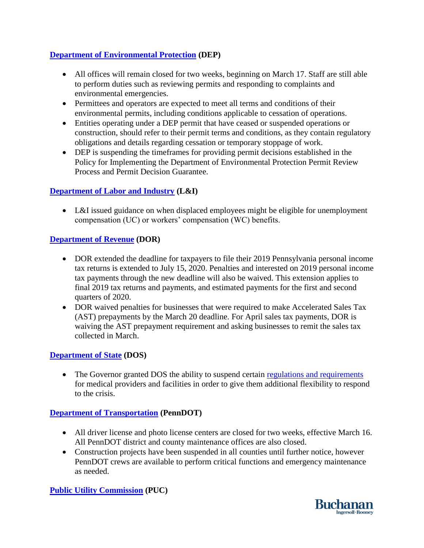# **[Department of Environmental Protection](https://www.dep.pa.gov/Pages/AlertDetails.aspx) (DEP)**

- All offices will remain closed for two weeks, beginning on March 17. Staff are still able to perform duties such as reviewing permits and responding to complaints and environmental emergencies.
- Permittees and operators are expected to meet all terms and conditions of their environmental permits, including conditions applicable to cessation of operations.
- Entities operating under a DEP permit that have ceased or suspended operations or construction, should refer to their permit terms and conditions, as they contain regulatory obligations and details regarding cessation or temporary stoppage of work.
- DEP is suspending the timeframes for providing permit decisions established in the Policy for Implementing the Department of Environmental Protection Permit Review Process and Permit Decision Guarantee.

### **[Department of Labor and Industry](https://www.uc.pa.gov/COVID-19/Pages/default.aspx) (L&I)**

 L&I issued guidance on when displaced employees might be eligible for unemployment compensation (UC) or workers' compensation (WC) benefits.

### **[Department of Revenue](https://www.revenue.pa.gov/Pages/AlertDetails.aspx) (DOR)**

- DOR extended the deadline for taxpayers to file their 2019 Pennsylvania personal income tax returns is extended to July 15, 2020. Penalties and interested on 2019 personal income tax payments through the new deadline will also be waived. This extension applies to final 2019 tax returns and payments, and estimated payments for the first and second quarters of 2020.
- DOR waived penalties for businesses that were required to make Accelerated Sales Tax (AST) prepayments by the March 20 deadline. For April sales tax payments, DOR is waiving the AST prepayment requirement and asking businesses to remit the sales tax collected in March.

### **[Department of State](https://www.dos.pa.gov/Pages/COVID-19-Information.aspx) (DOS)**

• The Governor granted DOS the ability to suspend certain [regulations and requirements](https://www.dos.pa.gov/Pages/COVID-19-Waivers.aspx) for medical providers and facilities in order to give them additional flexibility to respond to the crisis.

### **[Department of Transportation](https://www.penndot.gov/) (PennDOT)**

- All driver license and photo license centers are closed for two weeks, effective March 16. All PennDOT district and county maintenance offices are also closed.
- Construction projects have been suspended in all counties until further notice, however PennDOT crews are available to perform critical functions and emergency maintenance as needed.

### **[Public Utility Commission](http://www.puc.pa.gov/about_puc/covid_19.aspx) (PUC)**

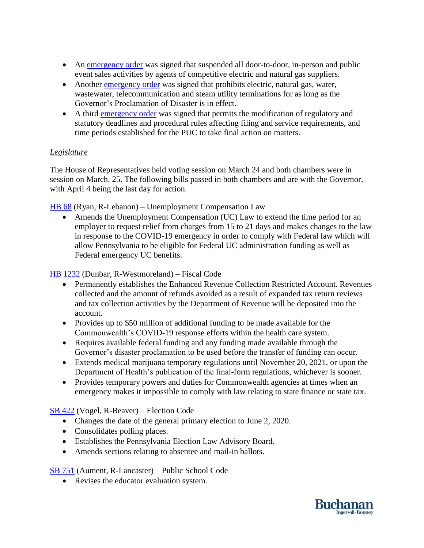- An [emergency order](http://www.puc.pa.gov/about_puc/press_releases.aspx?ShowPR=4327) was signed that suspended all door-to-door, in-person and public event sales activities by agents of competitive electric and natural gas suppliers.
- Another [emergency order](http://www.puc.pa.gov/about_puc/press_releases.aspx?ShowPR=4326) was signed that prohibits electric, natural gas, water, wastewater, telecommunication and steam utility terminations for as long as the Governor's Proclamation of Disaster is in effect.
- A third [emergency order](http://www.puc.pa.gov/about_puc/press_releases.aspx?ShowPR=4329) was signed that permits the modification of regulatory and statutory deadlines and procedural rules affecting filing and service requirements, and time periods established for the PUC to take final action on matters.

### *Legislature*

The House of Representatives held voting session on March 24 and both chambers were in session on March. 25. The following bills passed in both chambers and are with the Governor, with April 4 being the last day for action.

[HB 68](https://www.legis.state.pa.us/cfdocs/billInfo/billInfo.cfm?sYear=2019&sInd=0&body=H&type=B&bn=0068) (Ryan, R-Lebanon) – Unemployment Compensation Law

 Amends the Unemployment Compensation (UC) Law to extend the time period for an employer to request relief from charges from 15 to 21 days and makes changes to the law in response to the COVID-19 emergency in order to comply with Federal law which will allow Pennsylvania to be eligible for Federal UC administration funding as well as Federal emergency UC benefits.

[HB 1232](https://www.legis.state.pa.us/cfdocs/billInfo/billInfo.cfm?sYear=2019&sInd=0&body=H&type=B&bn=1232) (Dunbar, R-Westmoreland) – Fiscal Code

- Permanently establishes the Enhanced Revenue Collection Restricted Account. Revenues collected and the amount of refunds avoided as a result of expanded tax return reviews and tax collection activities by the Department of Revenue will be deposited into the account.
- Provides up to \$50 million of additional funding to be made available for the Commonwealth's COVID-19 response efforts within the health care system.
- Requires available federal funding and any funding made available through the Governor's disaster proclamation to be used before the transfer of funding can occur.
- Extends medical marijuana temporary regulations until November 20, 2021, or upon the Department of Health's publication of the final-form regulations, whichever is sooner.
- Provides temporary powers and duties for Commonwealth agencies at times when an emergency makes it impossible to comply with law relating to state finance or state tax.

[SB 422](https://www.legis.state.pa.us/cfdocs/billInfo/billInfo.cfm?sYear=2019&sInd=0&body=S&type=B&bn=0422) (Vogel, R-Beaver) – Election Code

- Changes the date of the general primary election to June 2, 2020.
- Consolidates polling places.
- Establishes the Pennsylvania Election Law Advisory Board.
- Amends sections relating to absentee and mail-in ballots.

[SB 751](https://www.legis.state.pa.us/cfdocs/billInfo/billInfo.cfm?sYear=2019&sInd=0&body=S&type=B&bn=0751) (Aument, R-Lancaster) – Public School Code

• Revises the educator evaluation system.

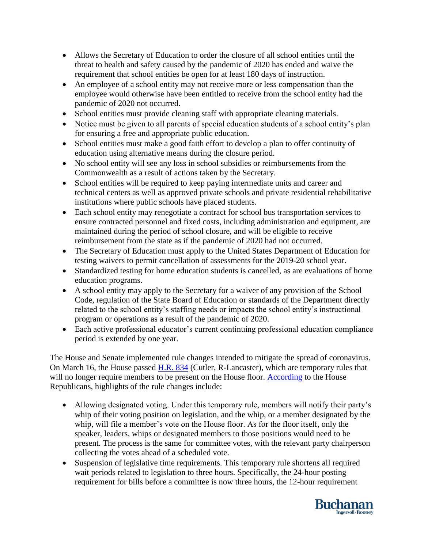- Allows the Secretary of Education to order the closure of all school entities until the threat to health and safety caused by the pandemic of 2020 has ended and waive the requirement that school entities be open for at least 180 days of instruction.
- An employee of a school entity may not receive more or less compensation than the employee would otherwise have been entitled to receive from the school entity had the pandemic of 2020 not occurred.
- School entities must provide cleaning staff with appropriate cleaning materials.
- Notice must be given to all parents of special education students of a school entity's plan for ensuring a free and appropriate public education.
- School entities must make a good faith effort to develop a plan to offer continuity of education using alternative means during the closure period.
- No school entity will see any loss in school subsidies or reimbursements from the Commonwealth as a result of actions taken by the Secretary.
- School entities will be required to keep paying intermediate units and career and technical centers as well as approved private schools and private residential rehabilitative institutions where public schools have placed students.
- Each school entity may renegotiate a contract for school bus transportation services to ensure contracted personnel and fixed costs, including administration and equipment, are maintained during the period of school closure, and will be eligible to receive reimbursement from the state as if the pandemic of 2020 had not occurred.
- The Secretary of Education must apply to the United States Department of Education for testing waivers to permit cancellation of assessments for the 2019-20 school year.
- Standardized testing for home education students is cancelled, as are evaluations of home education programs.
- A school entity may apply to the Secretary for a waiver of any provision of the School Code, regulation of the State Board of Education or standards of the Department directly related to the school entity's staffing needs or impacts the school entity's instructional program or operations as a result of the pandemic of 2020.
- Each active professional educator's current continuing professional education compliance period is extended by one year.

The House and Senate implemented rule changes intended to mitigate the spread of coronavirus. On March 16, the House passed [H.R. 834](https://www.legis.state.pa.us/cfdocs/billInfo/billInfo.cfm?sYear=2019&sInd=0&body=H&type=R&bn=0834) (Cutler, R-Lancaster), which are temporary rules that will no longer require members to be present on the House floor. [According](http://pahousegop.com/News/16896/Latest-News/House-Passes-Historic-Rule-Changes-in-Response-to-COVID-19) to the House Republicans, highlights of the rule changes include:

- Allowing designated voting. Under this temporary rule, members will notify their party's whip of their voting position on legislation, and the whip, or a member designated by the whip, will file a member's vote on the House floor. As for the floor itself, only the speaker, leaders, whips or designated members to those positions would need to be present. The process is the same for committee votes, with the relevant party chairperson collecting the votes ahead of a scheduled vote.
- Suspension of legislative time requirements. This temporary rule shortens all required wait periods related to legislation to three hours. Specifically, the 24-hour posting requirement for bills before a committee is now three hours, the 12-hour requirement